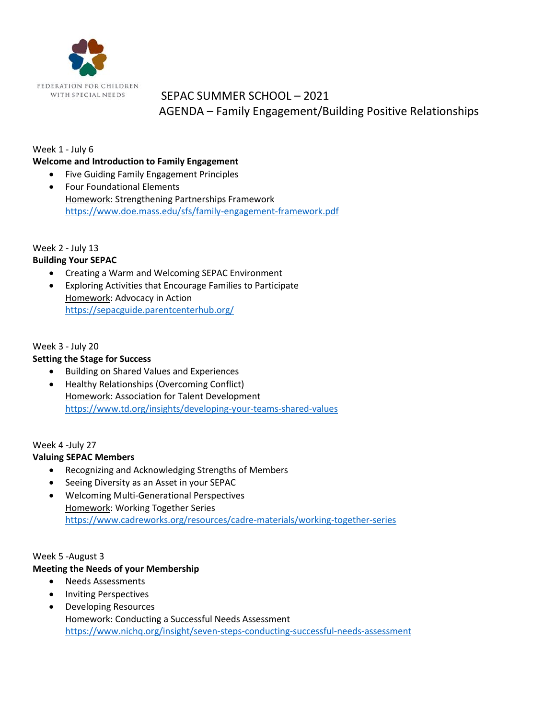

## SEPAC SUMMER SCHOOL – 2021 AGENDA – Family Engagement/Building Positive Relationships

## Week 1 - July 6

#### **Welcome and Introduction to Family Engagement**

• Five Guiding Family Engagement Principles • Four Foundational Elements Homework: Strengthening Partnerships Framework <https://www.doe.mass.edu/sfs/family-engagement-framework.pdf>

### Week 2 - July 13

## **Building Your SEPAC**

- Creating a Warm and Welcoming SEPAC Environment
- Exploring Activities that Encourage Families to Participate Homework: Advocacy in Action <https://sepacguide.parentcenterhub.org/>

### Week 3 - July 20

## **Setting the Stage for Success**

- Building on Shared Values and Experiences
- Healthy Relationships (Overcoming Conflict) Homework: Association for Talent Development <https://www.td.org/insights/developing-your-teams-shared-values>

## Week 4 -July 27

### **Valuing SEPAC Members**

- Recognizing and Acknowledging Strengths of Members
- Seeing Diversity as an Asset in your SEPAC
- Welcoming Multi-Generational Perspectives Homework: Working Together Series <https://www.cadreworks.org/resources/cadre-materials/working-together-series>

### Week 5 -August 3

## **Meeting the Needs of your Membership**

- Needs Assessments
- Inviting Perspectives
- Developing Resources Homework: Conducting a Successful Needs Assessment <https://www.nichq.org/insight/seven-steps-conducting-successful-needs-assessment>